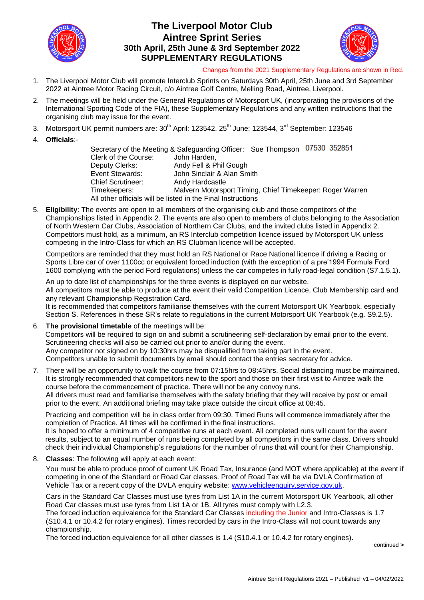

## **The Liverpool Motor Club Aintree Sprint Series 30th April, 25th June & 3rd September 2022 SUPPLEMENTARY REGULATIONS**



#### Changes from the 2021 Supplementary Regulations are shown in Red.

- 1. The Liverpool Motor Club will promote Interclub Sprints on Saturdays 30th April, 25th June and 3rd September 2022 at Aintree Motor Racing Circuit, c/o Aintree Golf Centre, Melling Road, Aintree, Liverpool.
- 2. The meetings will be held under the General Regulations of Motorsport UK, (incorporating the provisions of the International Sporting Code of the FIA), these Supplementary Regulations and any written instructions that the organising club may issue for the event.
- 3. Motorsport UK permit numbers are: 30<sup>th</sup> April: 123542, 25<sup>th</sup> June: 123544, 3<sup>rd</sup> September: 123546
- 4. **Officials**:-

Secretary of the Meeting & Safeguarding Officer: Sue Thompson 07530 352851 Clerk of the Course: John Harden, Deputy Clerks: Andy Fell & Phil Gough Event Stewards: John Sinclair & Alan Smith Chief Scrutineer: Andy Hardcastle Timekeepers: Malvern Motorsport Timing, Chief Timekeeper: Roger Warren All other officials will be listed in the Final Instructions

5. **Eligibility**: The events are open to all members of the organising club and those competitors of the Championships listed in Appendix 2. The events are also open to members of clubs belonging to the Association of North Western Car Clubs, Association of Northern Car Clubs, and the invited clubs listed in Appendix 2. Competitors must hold, as a minimum, an RS Interclub competition licence issued by Motorsport UK unless competing in the Intro-Class for which an RS Clubman licence will be accepted.

Competitors are reminded that they must hold an RS National or Race National licence if driving a Racing or Sports Libre car of over 1100cc or equivalent forced induction (with the exception of a pre'1994 Formula Ford 1600 complying with the period Ford regulations) unless the car competes in fully road-legal condition (S7.1.5.1).

An up to date list of championships for the three events is displayed on our website. All competitors must be able to produce at the event their valid Competition Licence, Club Membership card and any relevant Championship Registration Card.

It is recommended that competitors familiarise themselves with the current Motorsport UK Yearbook, especially Section S. References in these SR's relate to regulations in the current Motorsport UK Yearbook (e.g. S9.2.5).

- 6. **The provisional timetable** of the meetings will be: Competitors will be required to sign on and submit a scrutineering self-declaration by email prior to the event. Scrutineering checks will also be carried out prior to and/or during the event. Any competitor not signed on by 10:30hrs may be disqualified from taking part in the event. Competitors unable to submit documents by email should contact the entries secretary for advice.
- 7. There will be an opportunity to walk the course from 07:15hrs to 08:45hrs. Social distancing must be maintained. It is strongly recommended that competitors new to the sport and those on their first visit to Aintree walk the course before the commencement of practice. There will not be any convoy runs. All drivers must read and familiarise themselves with the safety briefing that they will receive by post or email prior to the event. An additional briefing may take place outside the circuit office at 08:45.

Practicing and competition will be in class order from 09:30. Timed Runs will commence immediately after the completion of Practice. All times will be confirmed in the final instructions.

It is hoped to offer a minimum of 4 competitive runs at each event. All completed runs will count for the event results, subject to an equal number of runs being completed by all competitors in the same class. Drivers should check their individual Championship's regulations for the number of runs that will count for their Championship.

8. **Classes**: The following will apply at each event:

You must be able to produce proof of current UK Road Tax, Insurance (and MOT where applicable) at the event if competing in one of the Standard or Road Car classes. Proof of Road Tax will be via DVLA Confirmation of Vehicle Tax or a recent copy of the DVLA enquiry website: [www.vehicleenquiry.service.gov.uk.](http://www.vehicleenquiry.service.gov.uk/)

Cars in the Standard Car Classes must use tyres from List 1A in the current Motorsport UK Yearbook, all other Road Car classes must use tyres from List 1A or 1B. All tyres must comply with L2.3.

The forced induction equivalence for the Standard Car Classes including the Junior and Intro-Classes is 1.7 (S10.4.1 or 10.4.2 for rotary engines). Times recorded by cars in the Intro-Class will not count towards any championship.

The forced induction equivalence for all other classes is 1.4 (S10.4.1 or 10.4.2 for rotary engines).

continued **>**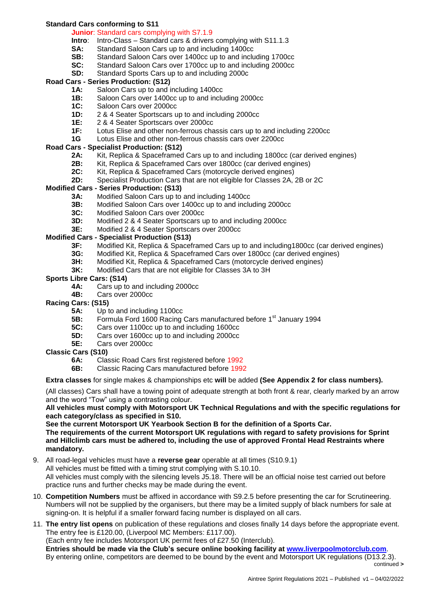## **Standard Cars conforming to S11**

### **Junior**: Standard cars complying with S7.1.9

- **Intro**: Intro-Class Standard cars & drivers complying with S11.1.3
- **SA:** Standard Saloon Cars up to and including 1400cc
- **SB:** Standard Saloon Cars over 1400cc up to and including 1700cc
- **SC:** Standard Saloon Cars over 1700cc up to and including 2000cc
- **SD:** Standard Sports Cars up to and including 2000c

## **Road Cars - Series Production: (S12)**

- **1A:** Saloon Cars up to and including 1400cc
- **1B:** Saloon Cars over 1400cc up to and including 2000cc
- **1C:** Saloon Cars over 2000cc
- **1D:** 2 & 4 Seater Sportscars up to and including 2000cc
- **1E:** 2 & 4 Seater Sportscars over 2000cc
- **1F:** Lotus Elise and other non-ferrous chassis cars up to and including 2200cc
- **1G** Lotus Elise and other non-ferrous chassis cars over 2200cc

## **Road Cars - Specialist Production: (S12)**

- 2A: Kit, Replica & Spaceframed Cars up to and including 1800cc (car derived engines)
- **2B:** Kit, Replica & Spaceframed Cars over 1800cc (car derived engines)
- **2C:** Kit, Replica & Spaceframed Cars (motorcycle derived engines)
- **2D:** Specialist Production Cars that are not eligible for Classes 2A, 2B or 2C

#### **Modified Cars - Series Production: (S13)**

- **3A:** Modified Saloon Cars up to and including 1400cc
- **3B:** Modified Saloon Cars over 1400cc up to and including 2000cc
- **3C:** Modified Saloon Cars over 2000cc
- **3D:** Modified 2 & 4 Seater Sportscars up to and including 2000cc
- **3E:** Modified 2 & 4 Seater Sportscars over 2000cc

### **Modified Cars - Specialist Production (S13)**

- **3F:** Modified Kit, Replica & Spaceframed Cars up to and including1800cc (car derived engines)
- **3G:** Modified Kit, Replica & Spaceframed Cars over 1800cc (car derived engines)
- **3H:** Modified Kit, Replica & Spaceframed Cars (motorcycle derived engines)
- **3K:** Modified Cars that are not eligible for Classes 3A to 3H

#### **Sports Libre Cars: (S14)**

- **4A:** Cars up to and including 2000cc
- **4B:** Cars over 2000cc
- **Racing Cars: (S15)**
	- **5A:** Up to and including 1100cc
	- **5B:** Formula Ford 1600 Racing Cars manufactured before 1<sup>st</sup> January 1994
	- **5C:** Cars over 1100cc up to and including 1600cc
	- **5D:** Cars over 1600cc up to and including 2000cc
	- **5E:** Cars over 2000cc
- **Classic Cars (S10)**
	- **6A:** Classic Road Cars first registered before 1992
	- **6B:** Classic Racing Cars manufactured before 1992

#### **Extra classes** for single makes & championships etc **will** be added **(See Appendix 2 for class numbers).**

(All classes) Cars shall have a towing point of adequate strength at both front & rear, clearly marked by an arrow and the word "Tow" using a contrasting colour.

**All vehicles must comply with Motorsport UK Technical Regulations and with the specific regulations for each category/class as specified in S10.** 

**See the current Motorsport UK Yearbook Section B for the definition of a Sports Car. The requirements of the current Motorsport UK regulations with regard to safety provisions for Sprint and Hillclimb cars must be adhered to, including the use of approved Frontal Head Restraints where mandatory.**

- 9. All road-legal vehicles must have a **reverse gear** operable at all times (S10.9.1) All vehicles must be fitted with a timing strut complying with S.10.10. All vehicles must comply with the silencing levels J5.18. There will be an official noise test carried out before practice runs and further checks may be made during the event.
- 10. **Competition Numbers** must be affixed in accordance with S9.2.5 before presenting the car for Scrutineering. Numbers will not be supplied by the organisers, but there may be a limited supply of black numbers for sale at signing-on. It is helpful if a smaller forward facing number is displayed on all cars.
- 11. **The entry list opens** on publication of these regulations and closes finally 14 days before the appropriate event. The entry fee is £120.00, (Liverpool MC Members: £117.00).

(Each entry fee includes Motorsport UK permit fees of £27.50 (Interclub).

**Entries should be made via the Club's secure online booking facility at [www.liverpoolmotorclub.com](http://www.liverpoolmotorclub.com/)**. By entering online, competitors are deemed to be bound by the event and Motorsport UK regulations (D13.2.3). continued **>**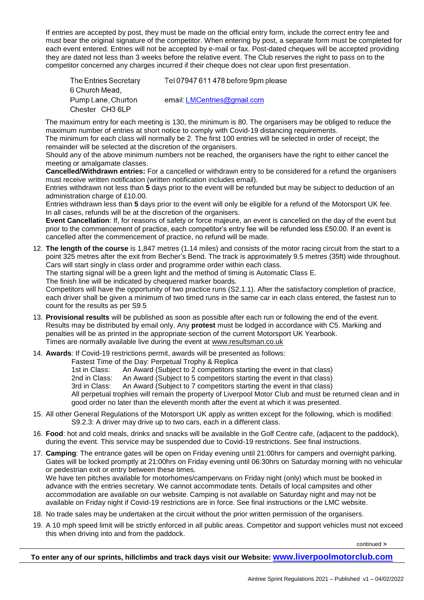If entries are accepted by post, they must be made on the official entry form, include the correct entry fee and must bear the original signature of the competitor. When entering by post, a separate form must be completed for each event entered. Entries will not be accepted by e-mail or fax. Post-dated cheques will be accepted providing they are dated not less than 3 weeks before the relative event. The Club reserves the right to pass on to the competitor concerned any charges incurred if their cheque does not clear upon first presentation.

| <b>The Entries Secretary</b> | Tel 07947 611 478 before 9pm please |
|------------------------------|-------------------------------------|
| 6 Church Mead,               |                                     |
| Pump Lane, Churton           | email. LMCentries@gmail.com         |
| Chester CH3 6LP              |                                     |

The maximum entry for each meeting is 130, the minimum is 80. The organisers may be obliged to reduce the maximum number of entries at short notice to comply with Covid-19 distancing requirements.

The minimum for each class will normally be 2. The first 100 entries will be selected in order of receipt; the remainder will be selected at the discretion of the organisers.

Should any of the above minimum numbers not be reached, the organisers have the right to either cancel the meeting or amalgamate classes.

**Cancelled/Withdrawn entries:** For a cancelled or withdrawn entry to be considered for a refund the organisers must receive written notification (written notification includes email).

Entries withdrawn not less than **5** days prior to the event will be refunded but may be subject to deduction of an administration charge of £10.00.

Entries withdrawn less than **5** days prior to the event will only be eligible for a refund of the Motorsport UK fee. In all cases, refunds will be at the discretion of the organisers.

**Event Cancellation**: If, for reasons of safety or force majeure, an event is cancelled on the day of the event but prior to the commencement of practice, each competitor's entry fee will be refunded less £50.00. If an event is cancelled after the commencement of practice, no refund will be made.

12. **The length of the course** is 1,847 metres (1.14 miles) and consists of the motor racing circuit from the start to a point 325 metres after the exit from Becher's Bend. The track is approximately 9.5 metres (35ft) wide throughout. Cars will start singly in class order and programme order within each class.

The starting signal will be a green light and the method of timing is Automatic Class E.

The finish line will be indicated by chequered marker boards.

Competitors will have the opportunity of two practice runs (S2.1.1). After the satisfactory completion of practice, each driver shall be given a minimum of two timed runs in the same car in each class entered, the fastest run to count for the results as per S9.5

- 13. **Provisional results** will be published as soon as possible after each run or following the end of the event. Results may be distributed by email only. Any **protest** must be lodged in accordance with C5. Marking and penalties will be as printed in the appropriate section of the current Motorsport UK Yearbook. Times are normally available live during the event at [www.resultsman.co.uk](http://www.resultsman.co.uk/)
- 14. **Awards**: If Covid-19 restrictions permit, awards will be presented as follows:

Fastest Time of the Day: Perpetual Trophy & Replica

1st in Class: An Award (Subject to 2 competitors starting the event in that class)

2nd in Class: An Award (Subject to 5 competitors starting the event in that class)

3rd in Class: An Award (Subject to 7 competitors starting the event in that class)

All perpetual trophies will remain the property of Liverpool Motor Club and must be returned clean and in good order no later than the eleventh month after the event at which it was presented.

- 15. All other General Regulations of the Motorsport UK apply as written except for the following, which is modified: S9.2.3: A driver may drive up to two cars, each in a different class.
- 16. **Food**: hot and cold meals, drinks and snacks will be available in the Golf Centre cafe, (adjacent to the paddock), during the event. This service may be suspended due to Covid-19 restrictions. See final instructions.
- 17. **Camping**: The entrance gates will be open on Friday evening until 21:00hrs for campers and overnight parking. Gates will be locked promptly at 21:00hrs on Friday evening until 06:30hrs on Saturday morning with no vehicular or pedestrian exit or entry between these times.

We have ten pitches available for motorhomes/campervans on Friday night (only) which must be booked in advance with the entries secretary. We cannot accommodate tents. Details of local campsites and other accommodation are available on our website. Camping is not available on Saturday night and may not be available on Friday night if Covid-19 restrictions are in force. See final instructions or the LMC website.

- 18. No trade sales may be undertaken at the circuit without the prior written permission of the organisers.
- 19. A 10 mph speed limit will be strictly enforced in all public areas. Competitor and support vehicles must not exceed this when driving into and from the paddock.

continued **>**

**To enter any of our sprints, hillclimbs and track days visit our Website: [www.liverpoolmotorclub.com](http://www.liverpoolmotorclub.com/)**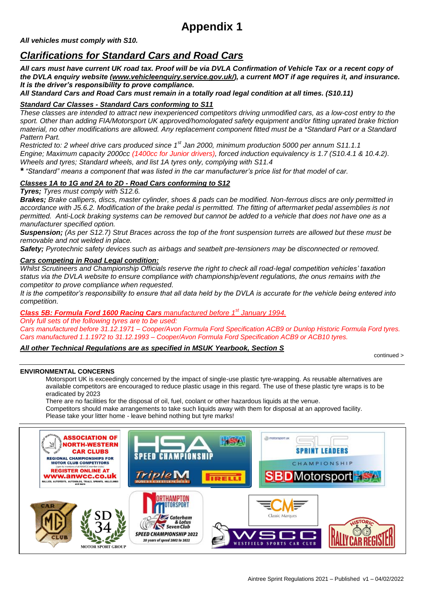# **Appendix 1**

*All vehicles must comply with S10.*

## *Clarifications for Standard Cars and Road Cars*

*All cars must have current UK road tax. Proof will be via DVLA Confirmation of Vehicle Tax or a recent copy of the DVLA enquiry website [\(www.vehicleenquiry.service.gov.uk/\)](http://www.vehicleenquiry.service.gov.uk/), a current MOT if age requires it, and insurance. It is the driver's responsibility to prove compliance.* 

*All Standard Cars and Road Cars must remain in a totally road legal condition at all times. (S10.11)*

## *Standard Car Classes - Standard Cars conforming to S11*

*These classes are intended to attract new inexperienced competitors driving unmodified cars, as a low-cost entry to the sport. Other than adding FIA/Motorsport UK approved/homologated safety equipment and/or fitting uprated brake friction material, no other modifications are allowed. Any replacement component fitted must be a \*Standard Part or a Standard Pattern Part.*

*Restricted to: 2 wheel drive cars produced since 1st Jan 2000, minimum production 5000 per annum S11.1.1 Engine; Maximum capacity 2000cc (1400cc for Junior drivers), forced induction equivalency is 1.7 (S10.4.1 & 10.4.2). Wheels and tyres; Standard wheels, and list 1A tyres only, complying with S11.4*

*\* "Standard" means a component that was listed in the car manufacturer's price list for that model of car.*

## *Classes 1A to 1G and 2A to 2D - Road Cars conforming to S12*

*Tyres; Tyres must comply with S12.6.*

*Brakes; Brake callipers, discs, master cylinder, shoes & pads can be modified. Non-ferrous discs are only permitted in accordance with J5.6.2. Modification of the brake pedal is permitted. The fitting of aftermarket pedal assemblies is not permitted. Anti-Lock braking systems can be removed but cannot be added to a vehicle that does not have one as a manufacturer specified option.* 

*Suspension; (As per S12.7) Strut Braces across the top of the front suspension turrets are allowed but these must be removable and not welded in place.*

*Safety; Pyrotechnic safety devices such as airbags and seatbelt pre-tensioners may be disconnected or removed.*

### *Cars competing in Road Legal condition:*

*Whilst Scrutineers and Championship Officials reserve the right to check all road-legal competition vehicles' taxation status via the DVLA website to ensure compliance with championship/event regulations, the onus remains with the competitor to prove compliance when requested.*

*It is the competitor's responsibility to ensure that all data held by the DVLA is accurate for the vehicle being entered into competition.*

*Class 5B: Formula Ford 1600 Racing Cars manufactured before 1st January 1994.*

*Only full sets of the following tyres are to be used:*

*Cars manufactured before 31.12.1971 – Cooper/Avon Formula Ford Specification ACB9 or Dunlop Historic Formula Ford tyres. Cars manufactured 1.1.1972 to 31.12.1993 – Cooper/Avon Formula Ford Specification ACB9 or ACB10 tyres.*

## *All other Technical Regulations are as specified in MSUK Yearbook, Section S*

continued >

#### **ENVIRONMENTAL CONCERNS**

Motorsport UK is exceedingly concerned by the impact of single-use plastic tyre-wrapping. As reusable alternatives are available competitors are encouraged to reduce plastic usage in this regard. The use of these plastic tyre wraps is to be eradicated by 2023

There are no facilities for the disposal of oil, fuel, coolant or other hazardous liquids at the venue. Competitors should make arrangements to take such liquids away with them for disposal at an approved facility. Please take your litter home - leave behind nothing but tyre marks!